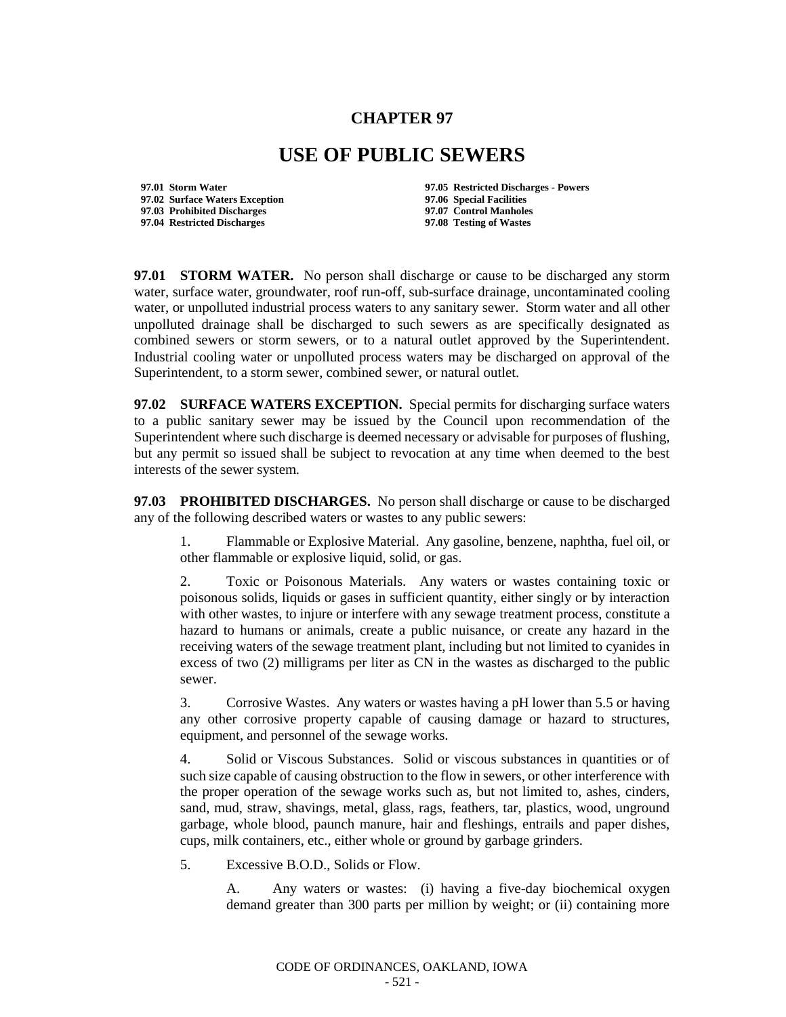## **CHAPTER 97**

## **USE OF PUBLIC SEWERS**

**97.02 Surface Waters Exception 97.06 Special Facilities 97.03 Prohibited Discharges 97.07 Control Manholes 97.04 Restricted Discharges** 

**97.01 Storm Water 97.05 Restricted Discharges - Powers**

**97.01 STORM WATER.** No person shall discharge or cause to be discharged any storm water, surface water, groundwater, roof run-off, sub-surface drainage, uncontaminated cooling water, or unpolluted industrial process waters to any sanitary sewer. Storm water and all other unpolluted drainage shall be discharged to such sewers as are specifically designated as combined sewers or storm sewers, or to a natural outlet approved by the Superintendent. Industrial cooling water or unpolluted process waters may be discharged on approval of the Superintendent, to a storm sewer, combined sewer, or natural outlet.

**97.02 SURFACE WATERS EXCEPTION.** Special permits for discharging surface waters to a public sanitary sewer may be issued by the Council upon recommendation of the Superintendent where such discharge is deemed necessary or advisable for purposes of flushing, but any permit so issued shall be subject to revocation at any time when deemed to the best interests of the sewer system.

**97.03 PROHIBITED DISCHARGES.** No person shall discharge or cause to be discharged any of the following described waters or wastes to any public sewers:

1. Flammable or Explosive Material. Any gasoline, benzene, naphtha, fuel oil, or other flammable or explosive liquid, solid, or gas.

2. Toxic or Poisonous Materials. Any waters or wastes containing toxic or poisonous solids, liquids or gases in sufficient quantity, either singly or by interaction with other wastes, to injure or interfere with any sewage treatment process, constitute a hazard to humans or animals, create a public nuisance, or create any hazard in the receiving waters of the sewage treatment plant, including but not limited to cyanides in excess of two (2) milligrams per liter as CN in the wastes as discharged to the public sewer.

3. Corrosive Wastes. Any waters or wastes having a pH lower than 5.5 or having any other corrosive property capable of causing damage or hazard to structures, equipment, and personnel of the sewage works.

4. Solid or Viscous Substances. Solid or viscous substances in quantities or of such size capable of causing obstruction to the flow in sewers, or other interference with the proper operation of the sewage works such as, but not limited to, ashes, cinders, sand, mud, straw, shavings, metal, glass, rags, feathers, tar, plastics, wood, unground garbage, whole blood, paunch manure, hair and fleshings, entrails and paper dishes, cups, milk containers, etc., either whole or ground by garbage grinders.

5. Excessive B.O.D., Solids or Flow.

A. Any waters or wastes: (i) having a five-day biochemical oxygen demand greater than 300 parts per million by weight; or (ii) containing more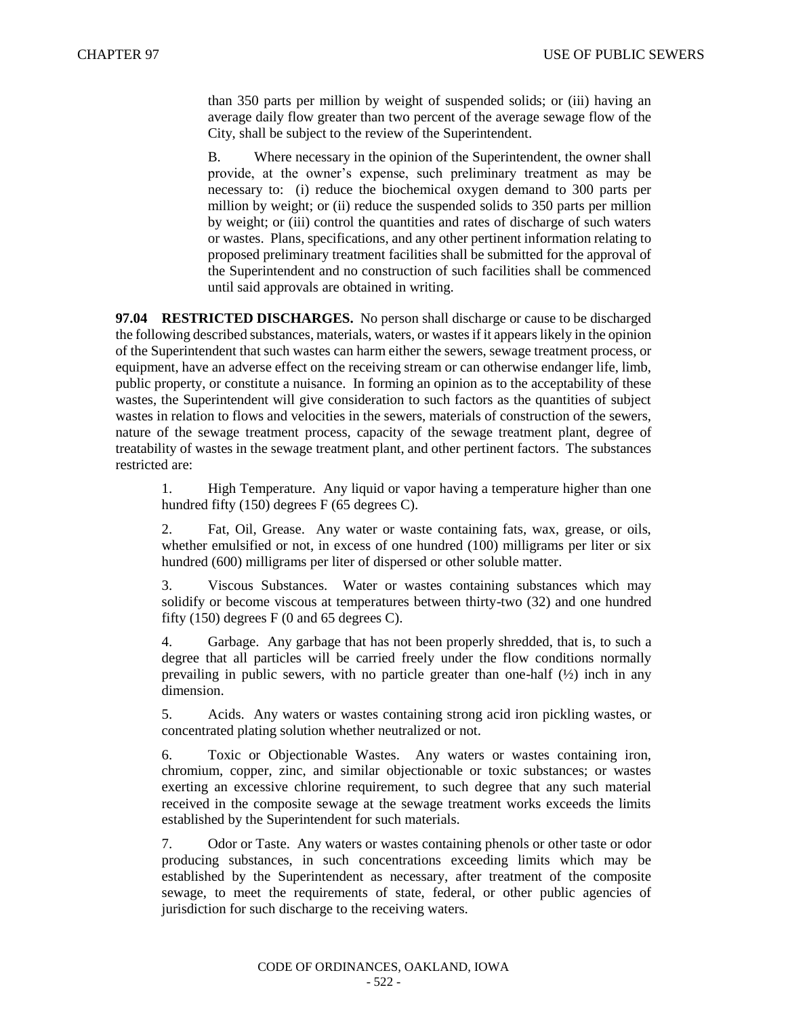than 350 parts per million by weight of suspended solids; or (iii) having an average daily flow greater than two percent of the average sewage flow of the City, shall be subject to the review of the Superintendent.

B. Where necessary in the opinion of the Superintendent, the owner shall provide, at the owner's expense, such preliminary treatment as may be necessary to: (i) reduce the biochemical oxygen demand to 300 parts per million by weight; or (ii) reduce the suspended solids to 350 parts per million by weight; or (iii) control the quantities and rates of discharge of such waters or wastes. Plans, specifications, and any other pertinent information relating to proposed preliminary treatment facilities shall be submitted for the approval of the Superintendent and no construction of such facilities shall be commenced until said approvals are obtained in writing.

**97.04 RESTRICTED DISCHARGES.** No person shall discharge or cause to be discharged the following described substances, materials, waters, or wastes if it appears likely in the opinion of the Superintendent that such wastes can harm either the sewers, sewage treatment process, or equipment, have an adverse effect on the receiving stream or can otherwise endanger life, limb, public property, or constitute a nuisance. In forming an opinion as to the acceptability of these wastes, the Superintendent will give consideration to such factors as the quantities of subject wastes in relation to flows and velocities in the sewers, materials of construction of the sewers, nature of the sewage treatment process, capacity of the sewage treatment plant, degree of treatability of wastes in the sewage treatment plant, and other pertinent factors. The substances restricted are:

1. High Temperature. Any liquid or vapor having a temperature higher than one hundred fifty (150) degrees F (65 degrees C).

2. Fat, Oil, Grease. Any water or waste containing fats, wax, grease, or oils, whether emulsified or not, in excess of one hundred (100) milligrams per liter or six hundred (600) milligrams per liter of dispersed or other soluble matter.

3. Viscous Substances. Water or wastes containing substances which may solidify or become viscous at temperatures between thirty-two (32) and one hundred fifty  $(150)$  degrees F  $(0 \text{ and } 65 \text{ degrees C})$ .

Garbage. Any garbage that has not been properly shredded, that is, to such a degree that all particles will be carried freely under the flow conditions normally prevailing in public sewers, with no particle greater than one-half  $(\frac{1}{2})$  inch in any dimension.

5. Acids. Any waters or wastes containing strong acid iron pickling wastes, or concentrated plating solution whether neutralized or not.

6. Toxic or Objectionable Wastes. Any waters or wastes containing iron, chromium, copper, zinc, and similar objectionable or toxic substances; or wastes exerting an excessive chlorine requirement, to such degree that any such material received in the composite sewage at the sewage treatment works exceeds the limits established by the Superintendent for such materials.

7. Odor or Taste. Any waters or wastes containing phenols or other taste or odor producing substances, in such concentrations exceeding limits which may be established by the Superintendent as necessary, after treatment of the composite sewage, to meet the requirements of state, federal, or other public agencies of jurisdiction for such discharge to the receiving waters.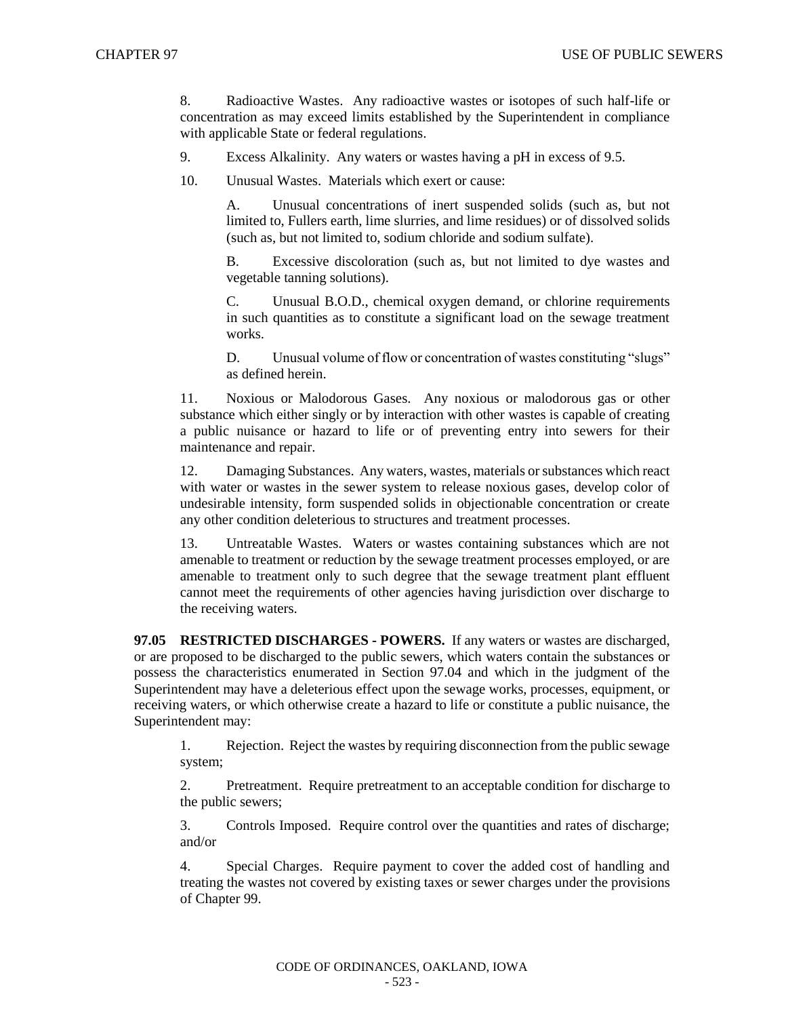8. Radioactive Wastes. Any radioactive wastes or isotopes of such half-life or concentration as may exceed limits established by the Superintendent in compliance with applicable State or federal regulations.

- 9. Excess Alkalinity. Any waters or wastes having a pH in excess of 9.5.
- 10. Unusual Wastes. Materials which exert or cause:

A. Unusual concentrations of inert suspended solids (such as, but not limited to, Fullers earth, lime slurries, and lime residues) or of dissolved solids (such as, but not limited to, sodium chloride and sodium sulfate).

B. Excessive discoloration (such as, but not limited to dye wastes and vegetable tanning solutions).

C. Unusual B.O.D., chemical oxygen demand, or chlorine requirements in such quantities as to constitute a significant load on the sewage treatment works.

D. Unusual volume of flow or concentration of wastes constituting "slugs" as defined herein.

11. Noxious or Malodorous Gases. Any noxious or malodorous gas or other substance which either singly or by interaction with other wastes is capable of creating a public nuisance or hazard to life or of preventing entry into sewers for their maintenance and repair.

12. Damaging Substances. Any waters, wastes, materials or substances which react with water or wastes in the sewer system to release noxious gases, develop color of undesirable intensity, form suspended solids in objectionable concentration or create any other condition deleterious to structures and treatment processes.

13. Untreatable Wastes. Waters or wastes containing substances which are not amenable to treatment or reduction by the sewage treatment processes employed, or are amenable to treatment only to such degree that the sewage treatment plant effluent cannot meet the requirements of other agencies having jurisdiction over discharge to the receiving waters.

**97.05 RESTRICTED DISCHARGES - POWERS.** If any waters or wastes are discharged, or are proposed to be discharged to the public sewers, which waters contain the substances or possess the characteristics enumerated in Section 97.04 and which in the judgment of the Superintendent may have a deleterious effect upon the sewage works, processes, equipment, or receiving waters, or which otherwise create a hazard to life or constitute a public nuisance, the Superintendent may:

1. Rejection. Reject the wastes by requiring disconnection from the public sewage system;

2. Pretreatment. Require pretreatment to an acceptable condition for discharge to the public sewers;

3. Controls Imposed. Require control over the quantities and rates of discharge; and/or

4. Special Charges. Require payment to cover the added cost of handling and treating the wastes not covered by existing taxes or sewer charges under the provisions of Chapter 99.